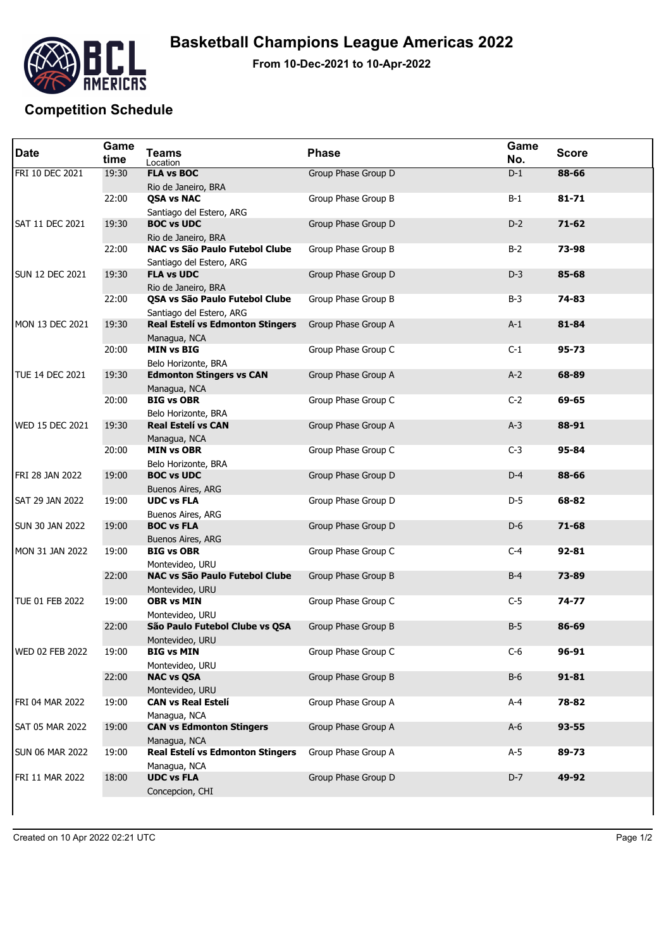

**From 10-Dec-2021 to 10-Apr-2022**

## **Competition Schedule**

| <b>Date</b>            | Game<br>time | <b>Teams</b><br>Location                                   | <b>Phase</b>        | Game<br>No. | <b>Score</b> |
|------------------------|--------------|------------------------------------------------------------|---------------------|-------------|--------------|
| FRI 10 DEC 2021        | 19:30        | <b>FLA vs BOC</b><br>Rio de Janeiro, BRA                   | Group Phase Group D | $D-1$       | 88-66        |
|                        | 22:00        | <b>QSA vs NAC</b><br>Santiago del Estero, ARG              | Group Phase Group B | $B-1$       | $81 - 71$    |
| <b>SAT 11 DEC 2021</b> | 19:30        | <b>BOC vs UDC</b><br>Rio de Janeiro, BRA                   | Group Phase Group D | $D-2$       | $71 - 62$    |
|                        | 22:00        | NAC vs São Paulo Futebol Clube<br>Santiago del Estero, ARG | Group Phase Group B | $B-2$       | 73-98        |
| <b>SUN 12 DEC 2021</b> | 19:30        | <b>FLA vs UDC</b><br>Rio de Janeiro, BRA                   | Group Phase Group D | $D-3$       | 85-68        |
|                        | 22:00        | QSA vs São Paulo Futebol Clube<br>Santiago del Estero, ARG | Group Phase Group B | $B-3$       | 74-83        |
| MON 13 DEC 2021        | 19:30        | Real Estelí vs Edmonton Stingers<br>Managua, NCA           | Group Phase Group A | $A-1$       | 81-84        |
|                        | 20:00        | <b>MIN vs BIG</b><br>Belo Horizonte, BRA                   | Group Phase Group C | $C-1$       | $95 - 73$    |
| <b>TUE 14 DEC 2021</b> | 19:30        | <b>Edmonton Stingers vs CAN</b><br>Managua, NCA            | Group Phase Group A | $A-2$       | 68-89        |
|                        | 20:00        | <b>BIG vs OBR</b><br>Belo Horizonte, BRA                   | Group Phase Group C | $C-2$       | 69-65        |
| WED 15 DEC 2021        | 19:30        | <b>Real Estelí vs CAN</b><br>Managua, NCA                  | Group Phase Group A | $A-3$       | 88-91        |
|                        | 20:00        | <b>MIN vs OBR</b><br>Belo Horizonte, BRA                   | Group Phase Group C | $C-3$       | 95-84        |
| FRI 28 JAN 2022        | 19:00        | <b>BOC vs UDC</b><br>Buenos Aires, ARG                     | Group Phase Group D | $D-4$       | 88-66        |
| SAT 29 JAN 2022        | 19:00        | <b>UDC vs FLA</b><br>Buenos Aires, ARG                     | Group Phase Group D | $D-5$       | 68-82        |
| <b>SUN 30 JAN 2022</b> | 19:00        | <b>BOC vs FLA</b><br>Buenos Aires, ARG                     | Group Phase Group D | $D-6$       | 71-68        |
| MON 31 JAN 2022        | 19:00        | <b>BIG vs OBR</b><br>Montevideo, URU                       | Group Phase Group C | $C-4$       | 92-81        |
|                        | 22:00        | NAC vs São Paulo Futebol Clube<br>Montevideo, URU          | Group Phase Group B | $B-4$       | 73-89        |
| TUE 01 FEB 2022        | 19:00        | <b>OBR vs MIN</b><br>Montevideo, URU                       | Group Phase Group C | $C-5$       | $74 - 77$    |
|                        | 22:00        | São Paulo Futebol Clube vs QSA<br>Montevideo, URU          | Group Phase Group B | $B-5$       | 86-69        |
| WED 02 FEB 2022        | 19:00        | <b>BIG vs MIN</b><br>Montevideo, URU                       | Group Phase Group C | $C-6$       | 96-91        |
|                        | 22:00        | <b>NAC vs QSA</b><br>Montevideo, URU                       | Group Phase Group B | $B-6$       | $91 - 81$    |
| FRI 04 MAR 2022        | 19:00        | <b>CAN vs Real Estelí</b><br>Managua, NCA                  | Group Phase Group A | $A-4$       | 78-82        |
| <b>SAT 05 MAR 2022</b> | 19:00        | <b>CAN vs Edmonton Stingers</b><br>Managua, NCA            | Group Phase Group A | $A-6$       | 93-55        |
| <b>SUN 06 MAR 2022</b> | 19:00        | Real Estelí vs Edmonton Stingers<br>Managua, NCA           | Group Phase Group A | $A-5$       | 89-73        |
| FRI 11 MAR 2022        | 18:00        | <b>UDC vs FLA</b><br>Concepcion, CHI                       | Group Phase Group D | $D-7$       | 49-92        |
|                        |              |                                                            |                     |             |              |